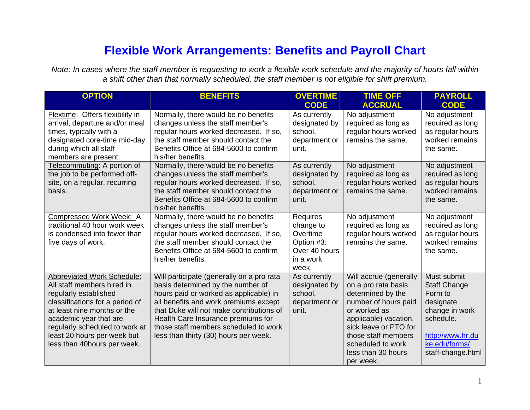## **Flexible Work Arrangements: Benefits and Payroll Chart**

*Note: In cases where the staff m ember is requesting to work a flexible work schedule and the m ajority of hours fall within a shift other than that norm ally scheduled, the staff m ember is not eligible for shift premium.*

| <b>OPTION</b>                                                                                                                                                                                                                                                                         | <b>BENEFITS</b>                                                                                                                                                                                                                                                                                                                       | <b>OVERTIME</b>                                                                        | <b>TIME OFF</b>                                                                                                                                                                                                                             | <b>PAYROLL</b>                                                                                                                                      |
|---------------------------------------------------------------------------------------------------------------------------------------------------------------------------------------------------------------------------------------------------------------------------------------|---------------------------------------------------------------------------------------------------------------------------------------------------------------------------------------------------------------------------------------------------------------------------------------------------------------------------------------|----------------------------------------------------------------------------------------|---------------------------------------------------------------------------------------------------------------------------------------------------------------------------------------------------------------------------------------------|-----------------------------------------------------------------------------------------------------------------------------------------------------|
|                                                                                                                                                                                                                                                                                       |                                                                                                                                                                                                                                                                                                                                       | <b>CODE</b>                                                                            | <b>ACCRUAL</b>                                                                                                                                                                                                                              | <b>CODE</b>                                                                                                                                         |
| Flextime: Offers flexibility in<br>arrival, departure and/or meal<br>times, typically with a<br>designated core-time mid-day<br>during which all staff<br>members are present.                                                                                                        | Normally, there would be no benefits<br>changes unless the staff member's<br>regular hours worked decreased. If so,<br>the staff member should contact the<br>Benefits Office at 684-5600 to confirm<br>his/her benefits.                                                                                                             | As currently<br>designated by<br>school,<br>department or<br>unit.                     | No adjustment<br>required as long as<br>regular hours worked<br>remains the same.                                                                                                                                                           | No adjustment<br>required as long<br>as regular hours<br>worked remains<br>the same.                                                                |
| Telecommuting: A portion of<br>the job to be performed off-<br>site, on a regular, recurring<br>basis.                                                                                                                                                                                | Normally, there would be no benefits<br>changes unless the staff member's<br>regular hours worked decreased. If so,<br>the staff member should contact the<br>Benefits Office at 684-5600 to confirm<br>his/her benefits.                                                                                                             | As currently<br>designated by<br>school,<br>department or<br>unit.                     | No adjustment<br>required as long as<br>regular hours worked<br>remains the same.                                                                                                                                                           | No adjustment<br>required as long<br>as regular hours<br>worked remains<br>the same.                                                                |
| Compressed Work Week: A<br>traditional 40 hour work week<br>is condensed into fewer than<br>five days of work.                                                                                                                                                                        | Normally, there would be no benefits<br>changes unless the staff member's<br>regular hours worked decreased. If so,<br>the staff member should contact the<br>Benefits Office at 684-5600 to confirm<br>his/her benefits.                                                                                                             | Requires<br>change to<br>Overtime<br>Option #3:<br>Over 40 hours<br>in a work<br>week. | No adjustment<br>required as long as<br>regular hours worked<br>remains the same.                                                                                                                                                           | No adjustment<br>required as long<br>as regular hours<br>worked remains<br>the same.                                                                |
| <b>Abbreviated Work Schedule:</b><br>All staff members hired in<br>regularly established<br>classifications for a period of<br>at least nine months or the<br>academic year that are<br>regularly scheduled to work at<br>least 20 hours per week but<br>less than 40 hours per week. | Will participate (generally on a pro rata<br>basis determined by the number of<br>hours paid or worked as applicable) in<br>all benefits and work premiums except<br>that Duke will not make contributions of<br>Health Care Insurance premiums for<br>those staff members scheduled to work<br>less than thirty (30) hours per week. | As currently<br>designated by<br>school,<br>department or<br>unit.                     | Will accrue (generally<br>on a pro rata basis<br>determined by the<br>number of hours paid<br>or worked as<br>applicable) vacation,<br>sick leave or PTO for<br>those staff members<br>scheduled to work<br>less than 30 hours<br>per week. | Must submit<br><b>Staff Change</b><br>Form to<br>designate<br>change in work<br>schedule.<br>http://www.hr.du<br>ke.edu/forms/<br>staff-change.html |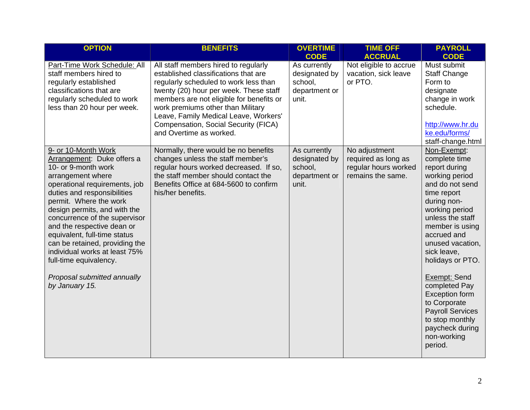| <b>OPTION</b>                                                                                                                                                                                                                                                                                                                                                                                                                                                        | <b>BENEFITS</b>                                                                                                                                                                                                                                                                                                                                              | <b>OVERTIME</b><br><b>CODE</b>                                     | <b>TIME OFF</b><br><b>ACCRUAL</b>                                                 | <b>PAYROLL</b><br><b>CODE</b>                                                                                                                                                                                                                                                                                                                                                                                        |
|----------------------------------------------------------------------------------------------------------------------------------------------------------------------------------------------------------------------------------------------------------------------------------------------------------------------------------------------------------------------------------------------------------------------------------------------------------------------|--------------------------------------------------------------------------------------------------------------------------------------------------------------------------------------------------------------------------------------------------------------------------------------------------------------------------------------------------------------|--------------------------------------------------------------------|-----------------------------------------------------------------------------------|----------------------------------------------------------------------------------------------------------------------------------------------------------------------------------------------------------------------------------------------------------------------------------------------------------------------------------------------------------------------------------------------------------------------|
| Part-Time Work Schedule: All<br>staff members hired to<br>regularly established<br>classifications that are<br>regularly scheduled to work<br>less than 20 hour per week.                                                                                                                                                                                                                                                                                            | All staff members hired to regularly<br>established classifications that are<br>regularly scheduled to work less than<br>twenty (20) hour per week. These staff<br>members are not eligible for benefits or<br>work premiums other than Military<br>Leave, Family Medical Leave, Workers'<br>Compensation, Social Security (FICA)<br>and Overtime as worked. | As currently<br>designated by<br>school.<br>department or<br>unit. | Not eligible to accrue<br>vacation, sick leave<br>or PTO.                         | Must submit<br><b>Staff Change</b><br>Form to<br>designate<br>change in work<br>schedule.<br>http://www.hr.du<br>ke.edu/forms/<br>staff-change.html                                                                                                                                                                                                                                                                  |
| 9- or 10-Month Work<br>Arrangement: Duke offers a<br>10- or 9-month work<br>arrangement where<br>operational requirements, job<br>duties and responsibilities<br>permit. Where the work<br>design permits, and with the<br>concurrence of the supervisor<br>and the respective dean or<br>equivalent, full-time status<br>can be retained, providing the<br>individual works at least 75%<br>full-time equivalency.<br>Proposal submitted annually<br>by January 15. | Normally, there would be no benefits<br>changes unless the staff member's<br>regular hours worked decreased. If so,<br>the staff member should contact the<br>Benefits Office at 684-5600 to confirm<br>his/her benefits.                                                                                                                                    | As currently<br>designated by<br>school,<br>department or<br>unit. | No adjustment<br>required as long as<br>regular hours worked<br>remains the same. | Non-Exempt:<br>complete time<br>report during<br>working period<br>and do not send<br>time report<br>during non-<br>working period<br>unless the staff<br>member is using<br>accrued and<br>unused vacation,<br>sick leave,<br>holidays or PTO.<br>Exempt: Send<br>completed Pay<br><b>Exception form</b><br>to Corporate<br><b>Payroll Services</b><br>to stop monthly<br>paycheck during<br>non-working<br>period. |